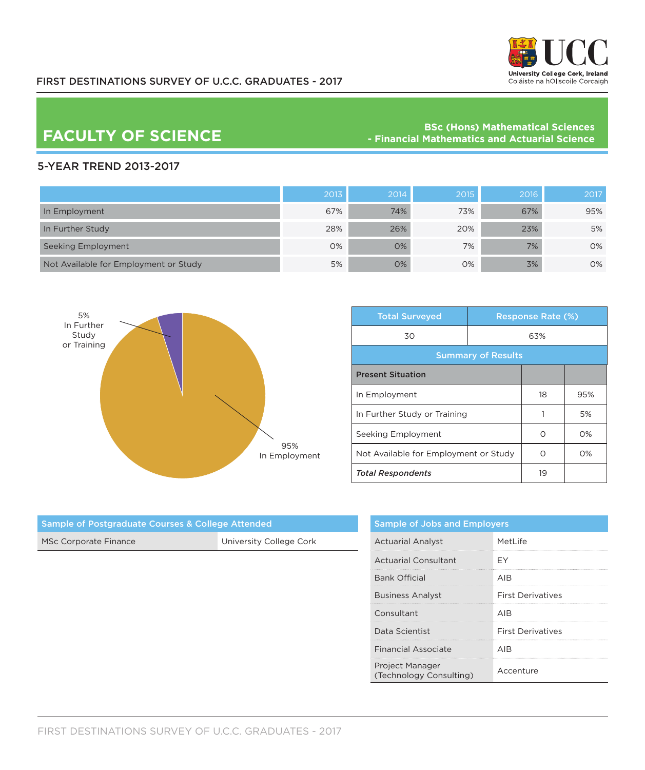

## FIRST DESTINATIONS SURVEY OF U.C.C. GRADUATES - 2017

BSc (Hons) Mathematical Sciences<br>Financial Mathematics and Actuarial Science **PACULTY OF SCIENCE Actuarial Science** 

## 5-YEAR TREND 2013-2017

|                                       | 2013 | 2014 | 2015 | 2016 | 2017 |
|---------------------------------------|------|------|------|------|------|
| In Employment                         | 67%  | 74%  | 73%  | 67%  | 95%  |
| In Further Study                      | 28%  | 26%  | 20%  | 23%  | 5%   |
| Seeking Employment                    | 0%   | O%   | 7%   | 7%   | 0%   |
| Not Available for Employment or Study | 5%   | O%   | 0%   | 3%   | 0%   |



| <b>Total Surveyed</b>                 |  | <b>Response Rate (%)</b> |       |  |
|---------------------------------------|--|--------------------------|-------|--|
| 30<br>63%                             |  |                          |       |  |
| <b>Summary of Results</b>             |  |                          |       |  |
| <b>Present Situation</b>              |  |                          |       |  |
| In Employment                         |  | 18                       | 95%   |  |
| In Further Study or Training          |  |                          | 5%    |  |
| Seeking Employment                    |  | ∩                        | $O\%$ |  |
| Not Available for Employment or Study |  | ∩                        | $O\%$ |  |
| <b>Total Respondents</b>              |  | 19                       |       |  |

| <b>Sample of Postgraduate Courses &amp; College Attended</b> |                         | $\mathsf{s}$        |
|--------------------------------------------------------------|-------------------------|---------------------|
| <b>MSc Corporate Finance</b>                                 | University College Cork | $\overline{A}$<br>  |
|                                                              |                         | $\overline{A}$<br>. |
|                                                              |                         | B<br>               |
|                                                              |                         | B<br>.              |
|                                                              |                         | C<br>.              |
|                                                              |                         | D<br>.              |
|                                                              |                         | F                   |

| <b>Sample of Jobs and Employers</b>               |                          |  |
|---------------------------------------------------|--------------------------|--|
| <b>Actuarial Analyst</b>                          | MetLife                  |  |
| Actuarial Consultant                              | FΥ                       |  |
| <b>Bank Official</b>                              | AIR                      |  |
| <b>Business Analyst</b>                           | <b>First Derivatives</b> |  |
| Consultant                                        | AIR                      |  |
| Data Scientist                                    | <b>First Derivatives</b> |  |
| <b>Financial Associate</b>                        | AIR                      |  |
| <b>Project Manager</b><br>(Technology Consulting) | Accenture                |  |